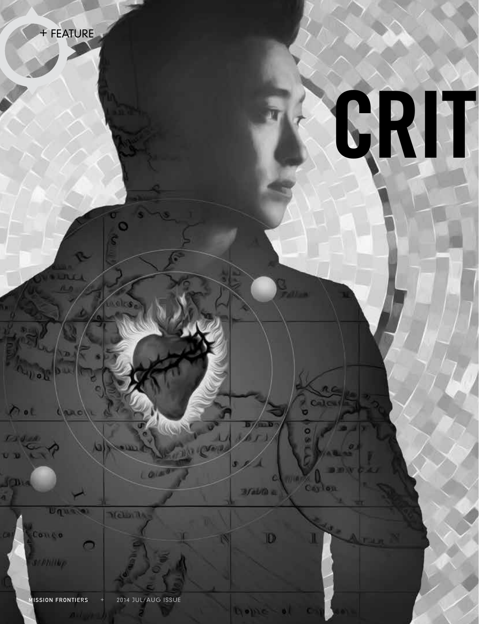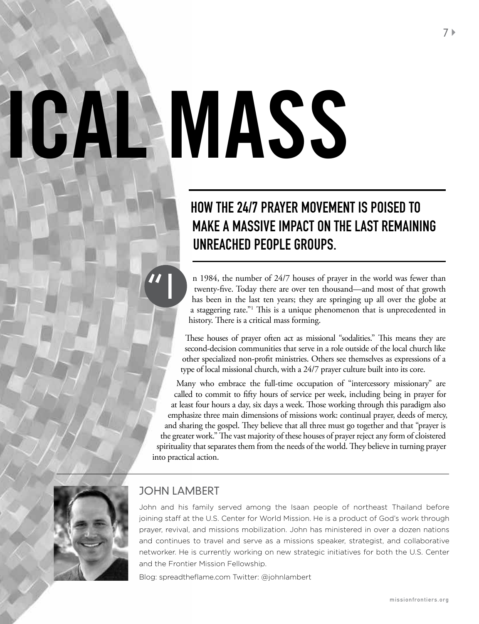# **IGAL MASS**

# How the 24/7 Prayer Movement is Poised To Make A Massive Impact on the Last Remaining Unreached People Groups.

n 1984, the number of 24/7 houses of prayer in the world was fewer than twenty-five. Today there are over ten thousand—and most of that growth has been in the last ten years; they are springing up all over the globe at a staggering rate."<sup>1</sup> This is a unique phenomenon that is unprecedented in history. There is a critical mass forming.

These houses of prayer often act as missional "sodalities." This means they are second-decision communities that serve in a role outside of the local church like other specialized non-profit ministries. Others see themselves as expressions of a type of local missional church, with a 24/7 prayer culture built into its core.

Many who embrace the full-time occupation of "intercessory missionary" are called to commit to fifty hours of service per week, including being in prayer for at least four hours a day, six days a week. Those working through this paradigm also emphasize three main dimensions of missions work: continual prayer, deeds of mercy, and sharing the gospel. They believe that all three must go together and that "prayer is the greater work." The vast majority of these houses of prayer reject any form of cloistered spirituality that separates them from the needs of the world. They believe in turning prayer into practical action.



## john lambert

John and his family served among the Isaan people of northeast Thailand before joining staff at the U.S. Center for World Mission. He is a product of God's work through prayer, revival, and missions mobilization. John has ministered in over a dozen nations and continues to travel and serve as a missions speaker, strategist, and collaborative networker. He is currently working on new strategic initiatives for both the U.S. Center and the Frontier Mission Fellowship.

Blog: spreadtheflame.com Twitter: @johnlambert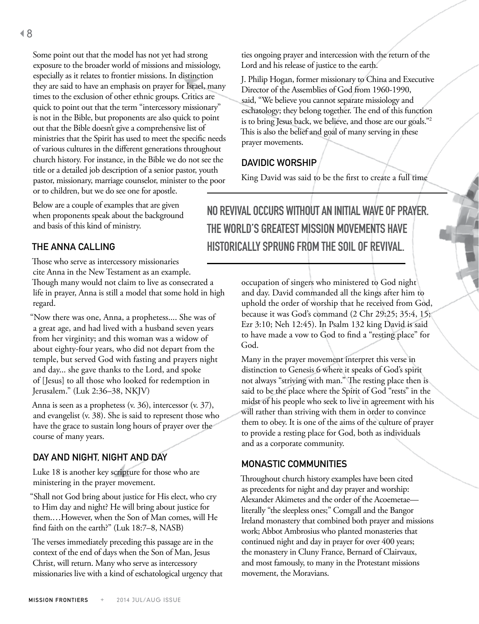Some point out that the model has not yet had strong exposure to the broader world of missions and missiology, especially as it relates to frontier missions. In distinction they are said to have an emphasis on prayer for Israel, many times to the exclusion of other ethnic groups. Critics are quick to point out that the term "intercessory missionary" is not in the Bible, but proponents are also quick to point out that the Bible doesn't give a comprehensive list of ministries that the Spirit has used to meet the specific needs of various cultures in the different generations throughout church history. For instance, in the Bible we do not see the title or a detailed job description of a senior pastor, youth pastor, missionary, marriage counselor, minister to the poor or to children, but we do see one for apostle.

Below are a couple of examples that are given when proponents speak about the background and basis of this kind of ministry.

### The Anna Calling

Those who serve as intercessory missionaries cite Anna in the New Testament as an example. Though many would not claim to live as consecrated a life in prayer, Anna is still a model that some hold in high regard.

"Now there was one, Anna, a prophetess.... She was of a great age, and had lived with a husband seven years from her virginity; and this woman was a widow of about eighty-four years, who did not depart from the temple, but served God with fasting and prayers night and day... she gave thanks to the Lord, and spoke of [Jesus] to all those who looked for redemption in Jerusalem." (Luk 2:36–38, NKJV)

Anna is seen as a prophetess (v. 36), intercessor (v. 37), and evangelist (v. 38). She is said to represent those who have the grace to sustain long hours of prayer over the course of many years.

### Day and Night, Night and Day

Luke 18 is another key scripture for those who are ministering in the prayer movement.

"Shall not God bring about justice for His elect, who cry to Him day and night? He will bring about justice for them.…However, when the Son of Man comes, will He find faith on the earth?" (Luk 18:7–8, NASB)

The verses immediately preceding this passage are in the context of the end of days when the Son of Man, Jesus Christ, will return. Many who serve as intercessory missionaries live with a kind of eschatological urgency that

ties ongoing prayer and intercession with the return of the Lord and his release of justice to the earth.

J. Philip Hogan, former missionary to China and Executive Director of the Assemblies of God from 1960-1990, said, "We believe you cannot separate missiology and eschatology; they belong together. The end of this function is to bring Jesus back, we believe, and those are our goals."<sup>2</sup> This is also the belief and goal of many serving in these prayer movements.

### Davidic Worship

King David was said to be the first to create a full time

No revival occurs without an initial wave of prayer. The world's greatest mission movements have historically sprung from the soil of revival.

> occupation of singers who ministered to God night and day. David commanded all the kings after him to uphold the order of worship that he received from God, because it was God's command (2 Chr 29:25; 35:4, 15; Ezr 3:10; Neh 12:45). In Psalm 132 king David is said to have made a vow to God to find a "resting place" for God.

> Many in the prayer movement interpret this verse in distinction to Genesis 6 where it speaks of God's spirit not always "striving with man." The resting place then is said to be the place where the Spirit of God "rests" in the midst of his people who seek to live in agreement with his will rather than striving with them in order to convince them to obey. It is one of the aims of the culture of prayer to provide a resting place for God, both as individuals and as a corporate community.

### Monastic Communities

Throughout church history examples have been cited as precedents for night and day prayer and worship: Alexander Akimetes and the order of the Acoemetae literally "the sleepless ones;" Comgall and the Bangor Ireland monastery that combined both prayer and missions work; Abbot Ambrosius who planted monasteries that continued night and day in prayer for over 400 years; the monastery in Cluny France, Bernard of Clairvaux, and most famously, to many in the Protestant missions movement, the Moravians.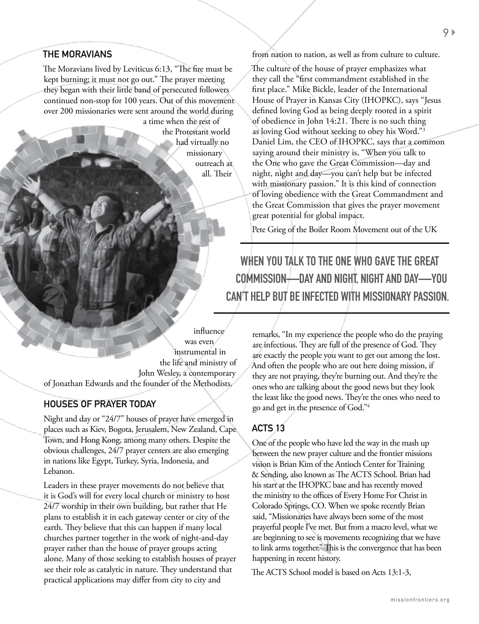### The Moravians

The Moravians lived by Leviticus 6:13, "The fire must be kept burning; it must not go out." The prayer meeting they began with their little band of persecuted followers continued non-stop for 100 years. Out of this movement over 200 missionaries were sent around the world during a time when the rest of

the Protestant world had virtually no missionary outreach at all. Their

from nation to nation, as well as from culture to culture.

The culture of the house of prayer emphasizes what they call the "first commandment established in the first place." Mike Bickle, leader of the International House of Prayer in Kansas City (IHOPKC), says "Jesus defined loving God as being deeply rooted in a spirit of obedience in John 14:21. There is no such thing as loving God without seeking to obey his Word."3 Daniel Lim, the CEO of IHOPKC, says that a common saying around their ministry is, "When you talk to the One who gave the Great Commission—day and night, night and day—you can't help but be infected with missionary passion." It is this kind of connection of loving obedience with the Great Commandment and the Great Commission that gives the prayer movement great potential for global impact.

Pete Grieg of the Boiler Room Movement out of the UK

When you talk to the One who gave the Great Commission—day and night, night and day—you can't help but be infected with missionary passion.

influence was even instrumental in the life and ministry of John Wesley, a contemporary of Jonathan Edwards and the founder of the Methodists.

### Houses of Prayer Today

Night and day or "24/7" houses of prayer have emerged in places such as Kiev, Bogota, Jerusalem, New Zealand, Cape Town, and Hong Kong, among many others. Despite the obvious challenges, 24/7 prayer centers are also emerging in nations like Egypt, Turkey, Syria, Indonesia, and Lebanon.

Leaders in these prayer movements do not believe that it is God's will for every local church or ministry to host 24/7 worship in their own building, but rather that He plans to establish it in each gateway center or city of the earth. They believe that this can happen if many local churches partner together in the work of night-and-day prayer rather than the house of prayer groups acting alone. Many of those seeking to establish houses of prayer see their role as catalytic in nature. They understand that practical applications may differ from city to city and

remarks, "In my experience the people who do the praying are infectious. They are full of the presence of God. They are exactly the people you want to get out among the lost. And often the people who are out here doing mission, if they are not praying, they're burning out. And they're the ones who are talking about the good news but they look the least like the good news. They're the ones who need to go and get in the presence of God."<sup>4</sup>

### ACTS 13

One of the people who have led the way in the mash up between the new prayer culture and the frontier missions vision is Brian Kim of the Antioch Center for Training & Sending, also known as The ACTS School. Brian had his start at the IHOPKC base and has recently moved the ministry to the offices of Every Home For Christ in Colorado Springs, CO. When we spoke recently Brian said, "Missionaries have always been some of the most prayerful people I've met. But from a macro level, what we are beginning to see is movements recognizing that we have to link arms together." This is the convergence that has been happening in recent history.

The ACTS School model is based on Acts 13:1-3,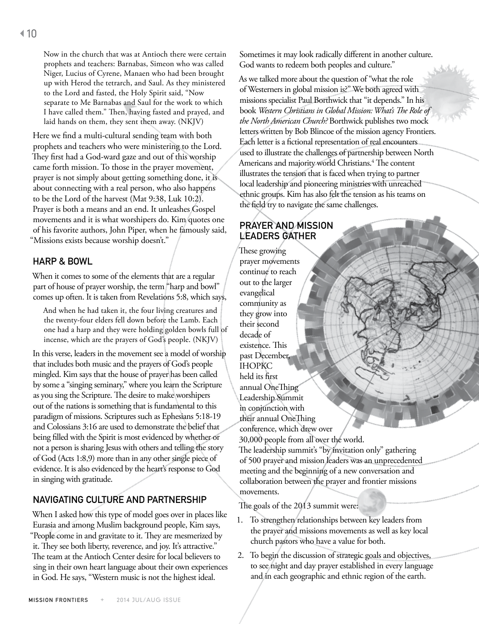Now in the church that was at Antioch there were certain prophets and teachers: Barnabas, Simeon who was called Niger, Lucius of Cyrene, Manaen who had been brought up with Herod the tetrarch, and Saul. As they ministered to the Lord and fasted, the Holy Spirit said, "Now separate to Me Barnabas and Saul for the work to which I have called them." Then, having fasted and prayed, and laid hands on them, they sent them away. (NKJV)

Here we find a multi-cultural sending team with both prophets and teachers who were ministering to the Lord. They first had a God-ward gaze and out of this worship came forth mission. To those in the prayer movement, prayer is not simply about getting something done, it is about connecting with a real person, who also happens to be the Lord of the harvest (Mat 9:38, Luk 10:2). Prayer is both a means and an end. It unleashes Gospel movements and it is what worshipers do. Kim quotes one of his favorite authors, John Piper, when he famously said, "Missions exists because worship doesn't."

### Harp & Bowl

When it comes to some of the elements that are a regular part of house of prayer worship, the term "harp and bowl" comes up often. It is taken from Revelations 5:8, which says,

And when he had taken it, the four living creatures and the twenty-four elders fell down before the Lamb. Each one had a harp and they were holding golden bowls full of incense, which are the prayers of God's people. (NKJV)

In this verse, leaders in the movement see a model of worship that includes both music and the prayers of God's people mingled. Kim says that the house of prayer has been called by some a "singing seminary," where you learn the Scripture as you sing the Scripture. The desire to make worshipers out of the nations is something that is fundamental to this paradigm of missions. Scriptures such as Ephesians 5:18-19 and Colossians 3:16 are used to demonstrate the belief that being filled with the Spirit is most evidenced by whether or not a person is sharing Jesus with others and telling the story of God (Acts 1:8,9) more than in any other single piece of evidence. It is also evidenced by the heart's response to God in singing with gratitude.

### Navigating Culture and Partnership

When I asked how this type of model goes over in places like Eurasia and among Muslim background people, Kim says, "People come in and gravitate to it. They are mesmerized by it. They see both liberty, reverence, and joy. It's attractive." The team at the Antioch Center desire for local believers to sing in their own heart language about their own experiences in God. He says, "Western music is not the highest ideal.

Sometimes it may look radically different in another culture. God wants to redeem both peoples and culture."

As we talked more about the question of "what the role of Westerners in global mission is?" We both agreed with missions specialist Paul Borthwick that "it depends." In his book *Western Christians in Global Mission: What's The Role of the North American Church?* Borthwick publishes two mock letters written by Bob Blincoe of the mission agency Frontiers. Each letter is a fictional representation of real encounters used to illustrate the challenges of partnership between North Americans and majority world Christians.<sup>4</sup> The content illustrates the tension that is faced when trying to partner local leadership and pioneering ministries with unreached ethnic groups. Kim has also felt the tension as his teams on the field try to navigate the same challenges.

### Prayer and Mission Leaders Gather

These growing prayer movements continue to reach out to the larger evangelical community as they grow into their second decade of existence. This past December, IHOPKC held its first annual OneThing Leadership Summit in conjunction with their annual OneThing conference, which drew over 30,000 people from all over the world. The leadership summit's "by invitation only" gathering of 500 prayer and mission leaders was an unprecedented meeting and the beginning of a new conversation and collaboration between the prayer and frontier missions

The goals of the 2013 summit were:

movements.

- 1. To strengthen relationships between key leaders from the prayer and missions movements as well as key local church pastors who have a value for both.
- 2. To begin the discussion of strategic goals and objectives, to see night and day prayer established in every language and in each geographic and ethnic region of the earth.